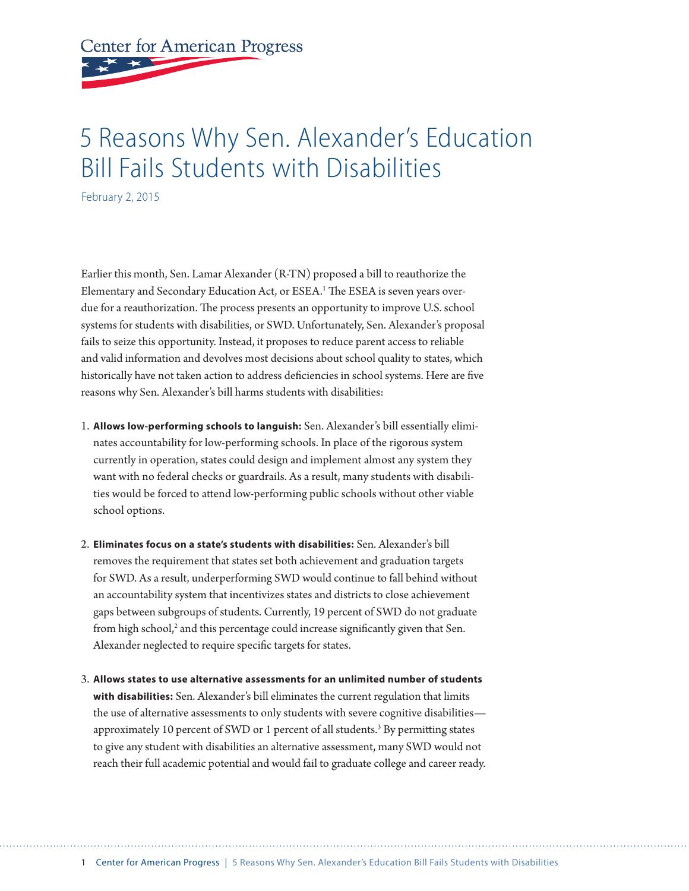**Center for American Progress** 

## 5 Reasons Why Sen. Alexander's Education Bill Fails Students with Disabilities

February 2, 2015

Earlier this month, Sen. Lamar Alexander (R-TN) proposed a bill to reauthorize the Elementary and Secondary Education Act, or ESEA.<sup>1</sup> The ESEA is seven years overdue for a reauthorization. The process presents an opportunity to improve U.S. school systems for students with disabilities, or SWD. Unfortunately, Sen. Alexander's proposal fails to seize this opportunity. Instead, it proposes to reduce parent access to reliable and valid information and devolves most decisions about school quality to states, which historically have not taken action to address deficiencies in school systems. Here are five reasons why Sen. Alexander's bill harms students with disabilities:

- 1. **Allows low-performing schools to languish:** Sen. Alexander's bill essentially eliminates accountability for low-performing schools. In place of the rigorous system currently in operation, states could design and implement almost any system they want with no federal checks or guardrails. As a result, many students with disabilities would be forced to attend low-performing public schools without other viable school options.
- 2. **Eliminates focus on a state's students with disabilities:** Sen. Alexander's bill removes the requirement that states set both achievement and graduation targets for SWD. As a result, underperforming SWD would continue to fall behind without an accountability system that incentivizes states and districts to close achievement gaps between subgroups of students. Currently, 19 percent of SWD do not graduate from high school,<sup>2</sup> and this percentage could increase significantly given that Sen. Alexander neglected to require specific targets for states.
- 3. **Allows states to use alternative assessments for an unlimited number of students with disabilities:** Sen. Alexander's bill eliminates the current regulation that limits the use of alternative assessments to only students with severe cognitive disabilities approximately 10 percent of SWD or 1 percent of all students.<sup>3</sup> By permitting states to give any student with disabilities an alternative assessment, many SWD would not reach their full academic potential and would fail to graduate college and career ready.